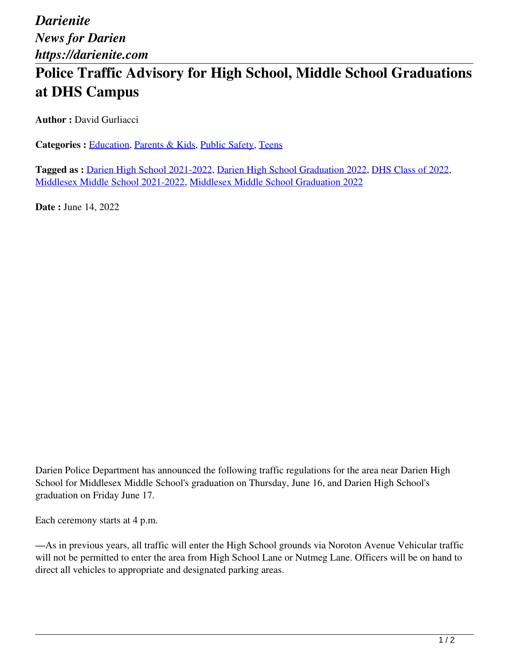*Darienite News for Darien https://darienite.com*

## **Police Traffic Advisory for High School, Middle School Graduations at DHS Campus**

**Author :** David Gurliacci

Categories : [Education,](https://darienite.com/category/news/education) Parents & Kids, Public Safety, Teens

**Tagged as :** Darien High School 2021-2022, Darien High School Graduation 2022, DHS Class of 2022, Middlesex Middle School 2021-2022, Middlesex Middle School Graduation 2022

**Date :** June 14, 2022

Darien Police Department has announced the following traffic regulations for the area near Darien High School for Middlesex Middle School's graduation on Thursday, June 16, and Darien High School's graduation on Friday June 17.

Each ceremony starts at 4 p.m.

—As in previous years, all traffic will enter the High School grounds via Noroton Avenue Vehicular traffic will not be permitted to enter the area from High School Lane or Nutmeg Lane. Officers will be on hand to direct all vehicles to appropriate and designated parking areas.